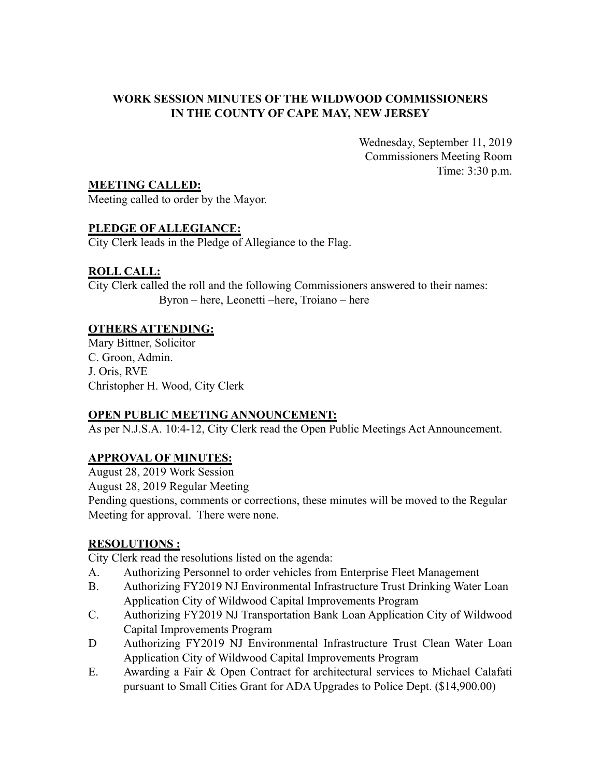#### **WORK SESSION MINUTES OF THE WILDWOOD COMMISSIONERS IN THE COUNTY OF CAPE MAY, NEW JERSEY**

Wednesday, September 11, 2019 Commissioners Meeting Room Time: 3:30 p.m.

**MEETING CALLED:**

Meeting called to order by the Mayor.

### **PLEDGE OF ALLEGIANCE:**

City Clerk leads in the Pledge of Allegiance to the Flag.

### **ROLL CALL:**

City Clerk called the roll and the following Commissioners answered to their names: Byron – here, Leonetti –here, Troiano – here

### **OTHERS ATTENDING:**

Mary Bittner, Solicitor C. Groon, Admin. J. Oris, RVE Christopher H. Wood, City Clerk

### **OPEN PUBLIC MEETING ANNOUNCEMENT:**

As per N.J.S.A. 10:4-12, City Clerk read the Open Public Meetings Act Announcement.

### **APPROVAL OF MINUTES:**

August 28, 2019 Work Session

August 28, 2019 Regular Meeting

Pending questions, comments or corrections, these minutes will be moved to the Regular Meeting for approval. There were none.

### **RESOLUTIONS :**

City Clerk read the resolutions listed on the agenda:

- A. Authorizing Personnel to order vehicles from Enterprise Fleet Management
- B. Authorizing FY2019 NJ Environmental Infrastructure Trust Drinking Water Loan Application City of Wildwood Capital Improvements Program
- C. Authorizing FY2019 NJ Transportation Bank Loan Application City of Wildwood Capital Improvements Program
- D Authorizing FY2019 NJ Environmental Infrastructure Trust Clean Water Loan Application City of Wildwood Capital Improvements Program
- E. Awarding a Fair & Open Contract for architectural services to Michael Calafati pursuant to Small Cities Grant for ADA Upgrades to Police Dept. (\$14,900.00)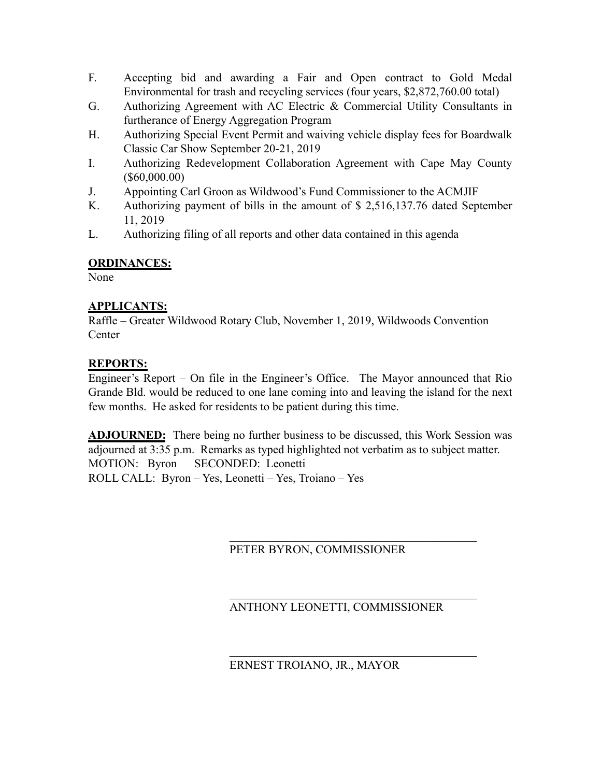- F. Accepting bid and awarding a Fair and Open contract to Gold Medal Environmental for trash and recycling services (four years, \$2,872,760.00 total)
- G. Authorizing Agreement with AC Electric & Commercial Utility Consultants in furtherance of Energy Aggregation Program
- H. Authorizing Special Event Permit and waiving vehicle display fees for Boardwalk Classic Car Show September 20-21, 2019
- I. Authorizing Redevelopment Collaboration Agreement with Cape May County (\$60,000.00)
- J. Appointing Carl Groon as Wildwood's Fund Commissioner to the ACMJIF
- K. Authorizing payment of bills in the amount of \$ 2,516,137.76 dated September 11, 2019
- L. Authorizing filing of all reports and other data contained in this agenda

### **ORDINANCES:**

None

### **APPLICANTS:**

Raffle – Greater Wildwood Rotary Club, November 1, 2019, Wildwoods Convention **Center** 

# **REPORTS:**

Engineer's Report – On file in the Engineer's Office. The Mayor announced that Rio Grande Bld. would be reduced to one lane coming into and leaving the island for the next few months. He asked for residents to be patient during this time.

**ADJOURNED:** There being no further business to be discussed, this Work Session was adjourned at 3:35 p.m. Remarks as typed highlighted not verbatim as to subject matter. MOTION: Byron SECONDED: Leonetti ROLL CALL: Byron – Yes, Leonetti – Yes, Troiano – Yes

# PETER BYRON, COMMISSIONER

#### $\mathcal{L}_\text{max}$  , where  $\mathcal{L}_\text{max}$  and  $\mathcal{L}_\text{max}$  and  $\mathcal{L}_\text{max}$  and  $\mathcal{L}_\text{max}$ ANTHONY LEONETTI, COMMISSIONER

 $\mathcal{L}_\text{max}$  , where  $\mathcal{L}_\text{max}$  and  $\mathcal{L}_\text{max}$  and  $\mathcal{L}_\text{max}$  and  $\mathcal{L}_\text{max}$ 

 $\mathcal{L}_\text{max}$ 

### ERNEST TROIANO, JR., MAYOR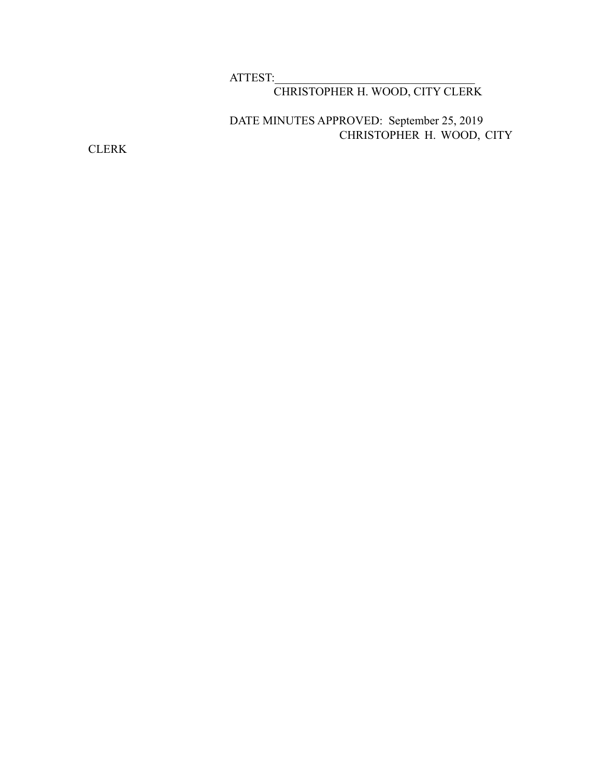### ATTEST:

# CHRISTOPHER H. WOOD, CITY CLERK

# DATE MINUTES APPROVED: September 25, 2019 CHRISTOPHER H. WOOD, CITY

CLERK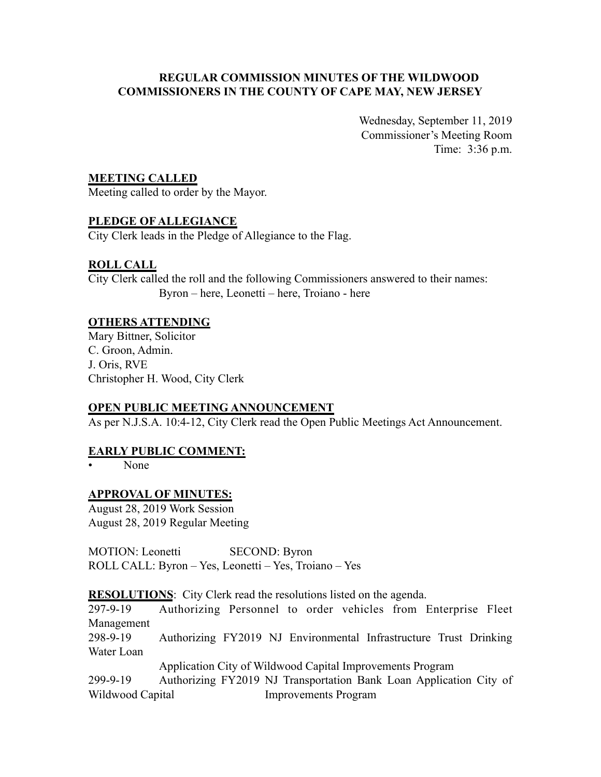#### **REGULAR COMMISSION MINUTES OF THE WILDWOOD COMMISSIONERS IN THE COUNTY OF CAPE MAY, NEW JERSEY**

Wednesday, September 11, 2019 Commissioner's Meeting Room Time: 3:36 p.m.

#### **MEETING CALLED**

Meeting called to order by the Mayor.

### **PLEDGE OF ALLEGIANCE**

City Clerk leads in the Pledge of Allegiance to the Flag.

### **ROLL CALL**

City Clerk called the roll and the following Commissioners answered to their names: Byron – here, Leonetti – here, Troiano - here

#### **OTHERS ATTENDING**

Mary Bittner, Solicitor C. Groon, Admin. J. Oris, RVE Christopher H. Wood, City Clerk

#### **OPEN PUBLIC MEETING ANNOUNCEMENT**

As per N.J.S.A. 10:4-12, City Clerk read the Open Public Meetings Act Announcement.

#### **EARLY PUBLIC COMMENT:**

• None

#### **APPROVAL OF MINUTES:**

August 28, 2019 Work Session August 28, 2019 Regular Meeting

MOTION: Leonetti SECOND: Byron ROLL CALL: Byron – Yes, Leonetti – Yes, Troiano – Yes

**RESOLUTIONS:** City Clerk read the resolutions listed on the agenda.

297-9-19 Authorizing Personnel to order vehicles from Enterprise Fleet Management

298-9-19 Authorizing FY2019 NJ Environmental Infrastructure Trust Drinking Water Loan

Application City of Wildwood Capital Improvements Program

299-9-19 Authorizing FY2019 NJ Transportation Bank Loan Application City of Wildwood Capital **Improvements Program**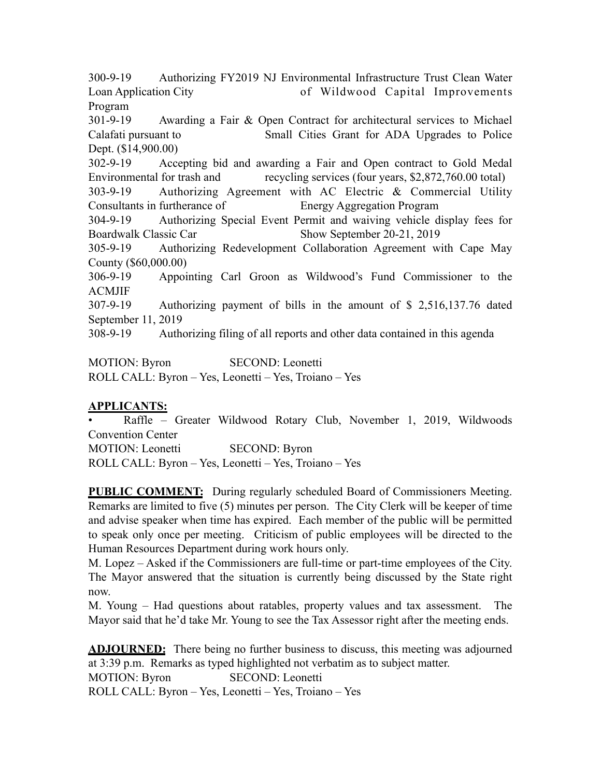300-9-19 Authorizing FY2019 NJ Environmental Infrastructure Trust Clean Water Loan Application City of Wildwood Capital Improvements Program

301-9-19 Awarding a Fair & Open Contract for architectural services to Michael Calafati pursuant to Small Cities Grant for ADA Upgrades to Police Dept. (\$14,900.00)

302-9-19 Accepting bid and awarding a Fair and Open contract to Gold Medal Environmental for trash and recycling services (four years, \$2,872,760.00 total)

303-9-19 Authorizing Agreement with AC Electric & Commercial Utility Consultants in furtherance of Energy Aggregation Program

304-9-19 Authorizing Special Event Permit and waiving vehicle display fees for Boardwalk Classic Car Show September 20-21, 2019

305-9-19 Authorizing Redevelopment Collaboration Agreement with Cape May County (\$60,000.00)

306-9-19 Appointing Carl Groon as Wildwood's Fund Commissioner to the ACMJIF

307-9-19 Authorizing payment of bills in the amount of \$ 2,516,137.76 dated September 11, 2019

308-9-19 Authorizing filing of all reports and other data contained in this agenda

MOTION: Byron SECOND: Leonetti ROLL CALL: Byron – Yes, Leonetti – Yes, Troiano – Yes

### **APPLICANTS:**

• Raffle – Greater Wildwood Rotary Club, November 1, 2019, Wildwoods Convention Center MOTION: Leonetti SECOND: Byron ROLL CALL: Byron – Yes, Leonetti – Yes, Troiano – Yes

**PUBLIC COMMENT:** During regularly scheduled Board of Commissioners Meeting. Remarks are limited to five (5) minutes per person. The City Clerk will be keeper of time and advise speaker when time has expired. Each member of the public will be permitted to speak only once per meeting. Criticism of public employees will be directed to the Human Resources Department during work hours only.

M. Lopez – Asked if the Commissioners are full-time or part-time employees of the City. The Mayor answered that the situation is currently being discussed by the State right now.

M. Young – Had questions about ratables, property values and tax assessment. The Mayor said that he'd take Mr. Young to see the Tax Assessor right after the meeting ends.

**ADJOURNED:** There being no further business to discuss, this meeting was adjourned at 3:39 p.m. Remarks as typed highlighted not verbatim as to subject matter. MOTION: Byron SECOND: Leonetti ROLL CALL: Byron – Yes, Leonetti – Yes, Troiano – Yes